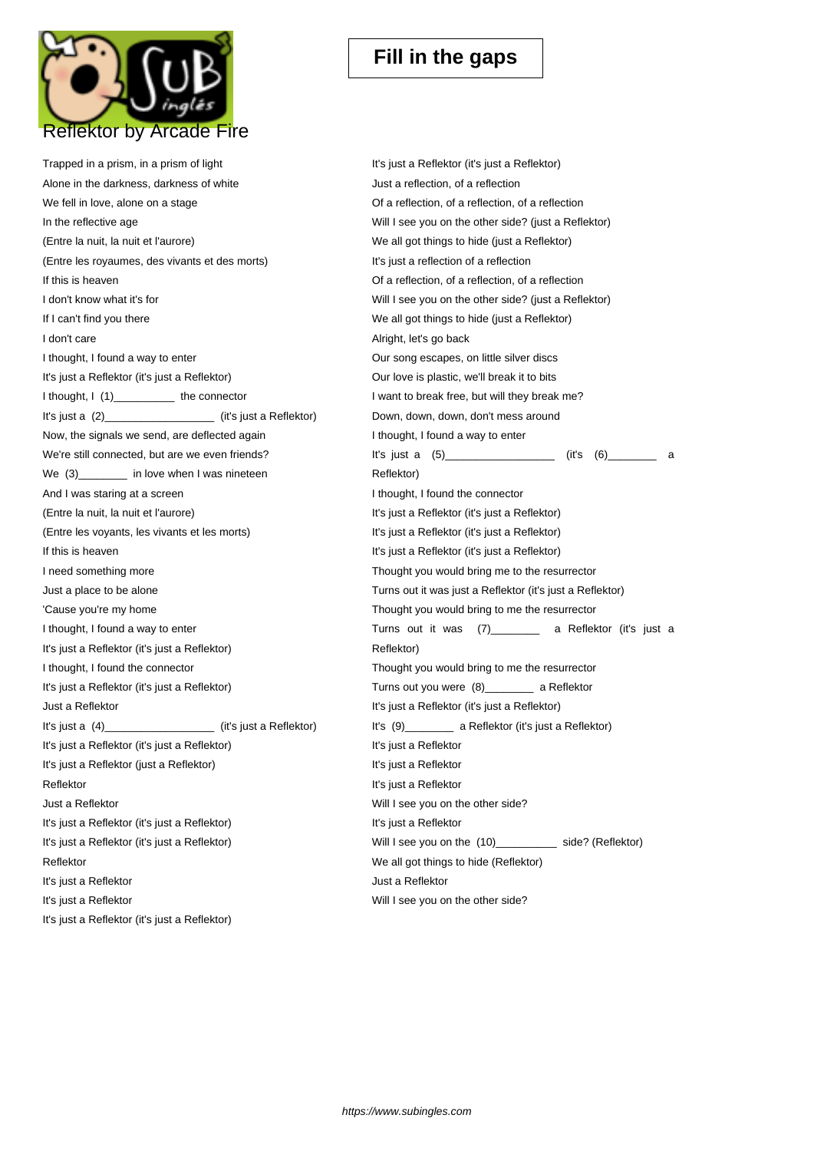

Trapped in a prism, in a prism of light Alone in the darkness, darkness of white We fell in love, alone on a stage In the reflective age (Entre la nuit, la nuit et l'aurore) (Entre les royaumes, des vivants et des morts) If this is heaven I don't know what it's for If I can't find you there I don't care I thought, I found a way to enter It's just a Reflektor (it's just a Reflektor) I thought, I (1)\_\_\_\_\_\_\_\_\_\_ the connector It's just a (2)\_\_\_\_\_\_\_\_\_\_\_\_\_\_\_\_\_\_ (it's just a Reflektor) Now, the signals we send, are deflected again We're still connected, but are we even friends? We  $(3)$  in love when I was nineteen And I was staring at a screen (Entre la nuit, la nuit et l'aurore) (Entre les voyants, les vivants et les morts) If this is heaven I need something more Just a place to be alone 'Cause you're my home I thought, I found a way to enter It's just a Reflektor (it's just a Reflektor) I thought, I found the connector It's just a Reflektor (it's just a Reflektor) Just a Reflektor It's just a (4)\_\_\_\_\_\_\_\_\_\_\_\_\_\_\_\_\_\_ (it's just a Reflektor) It's just a Reflektor (it's just a Reflektor) It's just a Reflektor (just a Reflektor) Reflektor Just a Reflektor It's just a Reflektor (it's just a Reflektor) It's just a Reflektor (it's just a Reflektor) Reflektor It's just a Reflektor It's just a Reflektor It's just a Reflektor (it's just a Reflektor)

It's just a Reflektor (it's just a Reflektor) Just a reflection, of a reflection Of a reflection, of a reflection, of a reflection Will I see you on the other side? (just a Reflektor) We all got things to hide (just a Reflektor) It's just a reflection of a reflection Of a reflection, of a reflection, of a reflection Will I see you on the other side? (just a Reflektor) We all got things to hide (just a Reflektor) Alright, let's go back Our song escapes, on little silver discs Our love is plastic, we'll break it to bits I want to break free, but will they break me? Down, down, down, don't mess around I thought, I found a way to enter It's just a  $(5)$   $(i!)$   $(i!)$   $(i!)$  a Reflektor) I thought, I found the connector It's just a Reflektor (it's just a Reflektor) It's just a Reflektor (it's just a Reflektor) It's just a Reflektor (it's just a Reflektor) Thought you would bring me to the resurrector Turns out it was just a Reflektor (it's just a Reflektor) Thought you would bring to me the resurrector Turns out it was (7)\_\_\_\_\_\_\_\_ a Reflektor (it's just a Reflektor) Thought you would bring to me the resurrector Turns out you were (8)\_\_\_\_\_\_\_\_ a Reflektor It's just a Reflektor (it's just a Reflektor) It's (9)\_\_\_\_\_\_\_\_ a Reflektor (it's just a Reflektor) It's just a Reflektor It's just a Reflektor It's just a Reflektor Will I see you on the other side? It's just a Reflektor Will I see you on the (10)\_\_\_\_\_\_\_\_\_\_\_ side? (Reflektor) We all got things to hide (Reflektor) Just a Reflektor Will I see you on the other side?